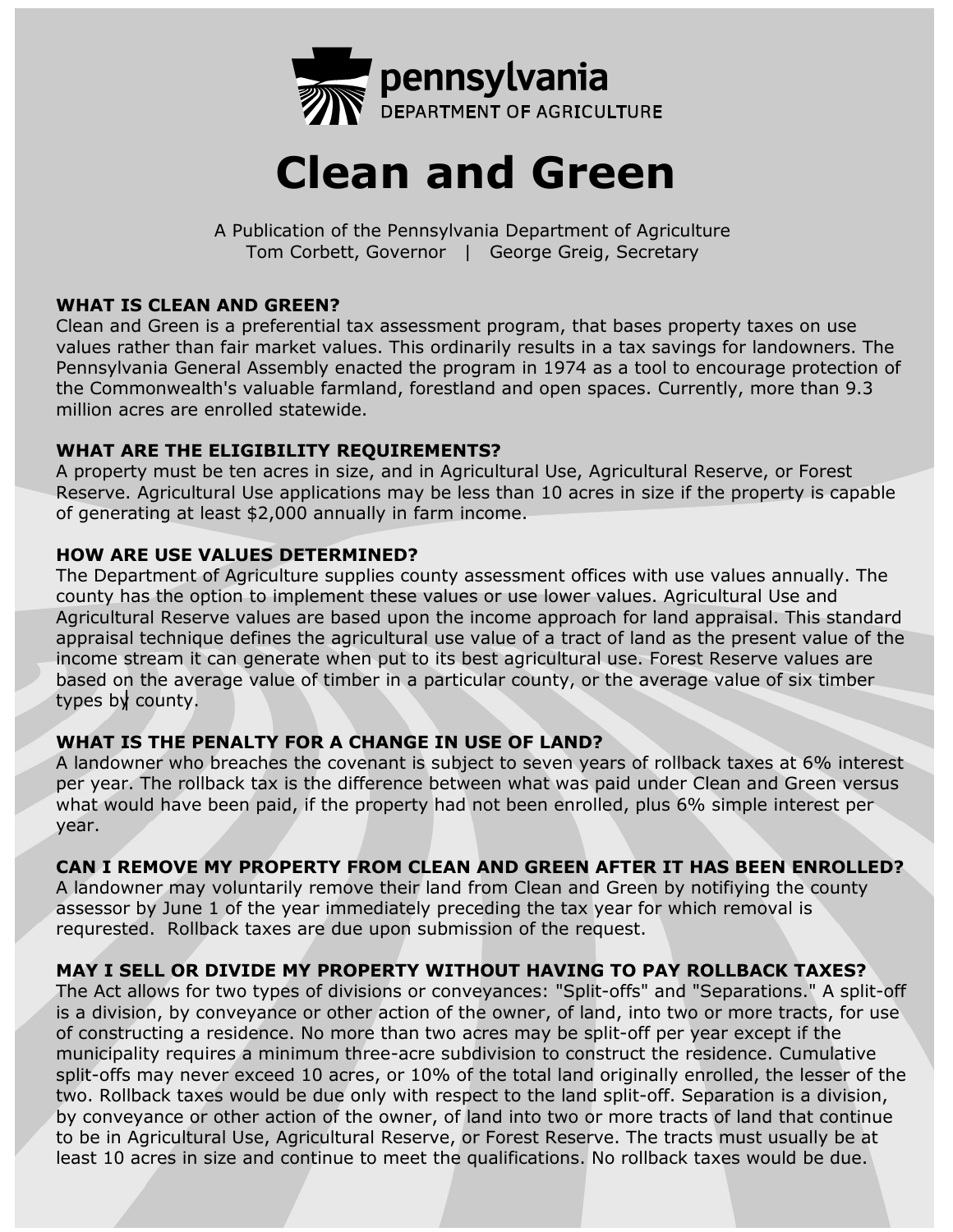

# **Clean and Green**

A Publication of the Pennsylvania Department of Agriculture Tom Corbett, Governor | George Greig, Secretary

## **WHAT IS CLEAN AND GREEN?**

Clean and Green is a preferential tax assessment program, that bases property taxes on use values rather than fair market values. This ordinarily results in a tax savings for landowners. The Pennsylvania General Assembly enacted the program in 1974 as a tool to encourage protection of the Commonwealth's valuable farmland, forestland and open spaces. Currently, more than 9.3 million acres are enrolled statewide.

## **WHAT ARE THE ELIGIBILITY REQUIREMENTS?**

A property must be ten acres in size, and in Agricultural Use, Agricultural Reserve, or Forest Reserve. Agricultural Use applications may be less than 10 acres in size if the property is capable of generating at least \$2,000 annually in farm income.

## **HOW ARE USE VALUES DETERMINED?**

The Department of Agriculture supplies county assessment offices with use values annually. The county has the option to implement these values or use lower values. Agricultural Use and Agricultural Reserve values are based upon the income approach for land appraisal. This standard appraisal technique defines the agricultural use value of a tract of land as the present value of the income stream it can generate when put to its best agricultural use. Forest Reserve values are based on the average value of timber in a particular county, or the average value of six timber types by county.

# **WHAT IS THE PENALTY FOR A CHANGE IN USE OF LAND?**

A landowner who breaches the covenant is subject to seven years of rollback taxes at 6% interest per year. The rollback tax is the difference between what was paid under Clean and Green versus what would have been paid, if the property had not been enrolled, plus 6% simple interest per year.

# **CAN I REMOVE MY PROPERTY FROM CLEAN AND GREEN AFTER IT HAS BEEN ENROLLED?**

A landowner may voluntarily remove their land from Clean and Green by notifiying the county assessor by June 1 of the year immediately preceding the tax year for which removal is requrested. Rollback taxes are due upon submission of the request.

# **MAY I SELL OR DIVIDE MY PROPERTY WITHOUT HAVING TO PAY ROLLBACK TAXES?**

The Act allows for two types of divisions or conveyances: "Split-offs" and "Separations." A split-off is a division, by conveyance or other action of the owner, of land, into two or more tracts, for use of constructing a residence. No more than two acres may be split-off per year except if the municipality requires a minimum three-acre subdivision to construct the residence. Cumulative split-offs may never exceed 10 acres, or 10% of the total land originally enrolled, the lesser of the two. Rollback taxes would be due only with respect to the land split-off. Separation is a division, by conveyance or other action of the owner, of land into two or more tracts of land that continue to be in Agricultural Use, Agricultural Reserve, or Forest Reserve. The tracts must usually be at least 10 acres in size and continue to meet the qualifications. No rollback taxes would be due.